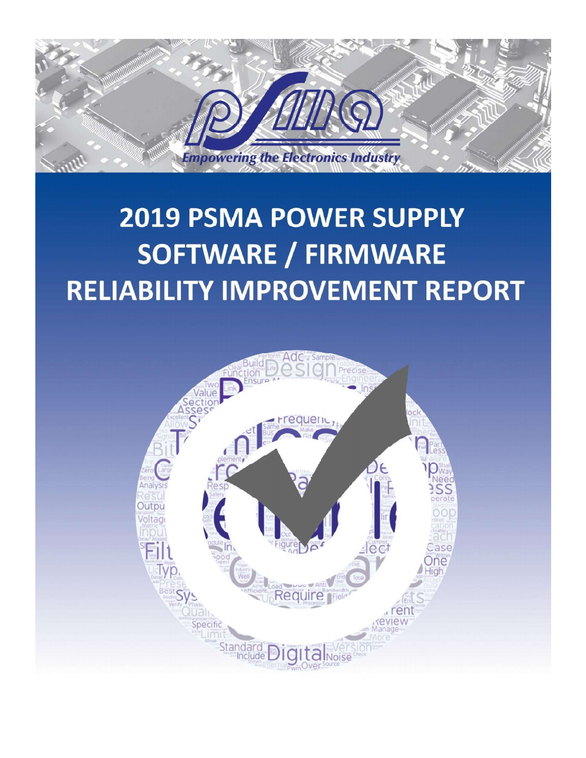

# **2019 PSMA POWER SUPPLY SOFTWARE / FIRMWARE RELIABILITY IMPROVEMENT REPORT**

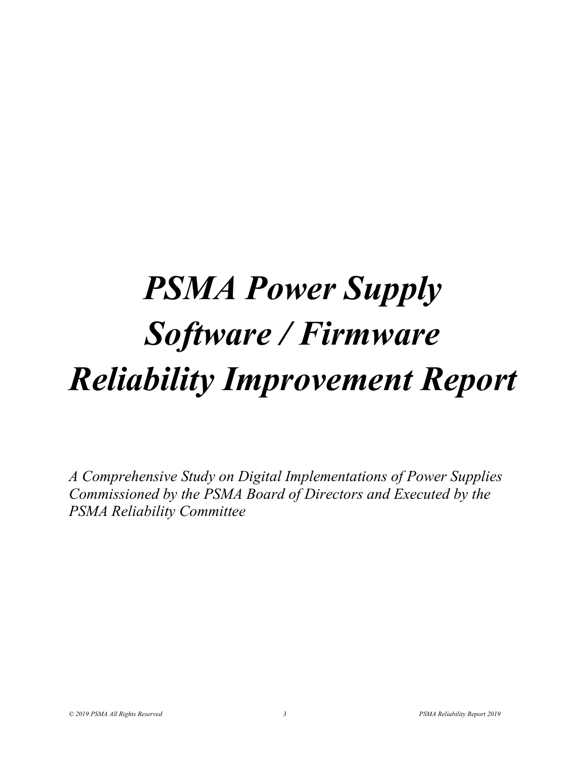# PSMA Power Supply Software / Firmware Reliability Improvement Report

A Comprehensive Study on Digital Implementations of Power Supplies Commissioned by the PSMA Board of Directors and Executed by the PSMA Reliability Committee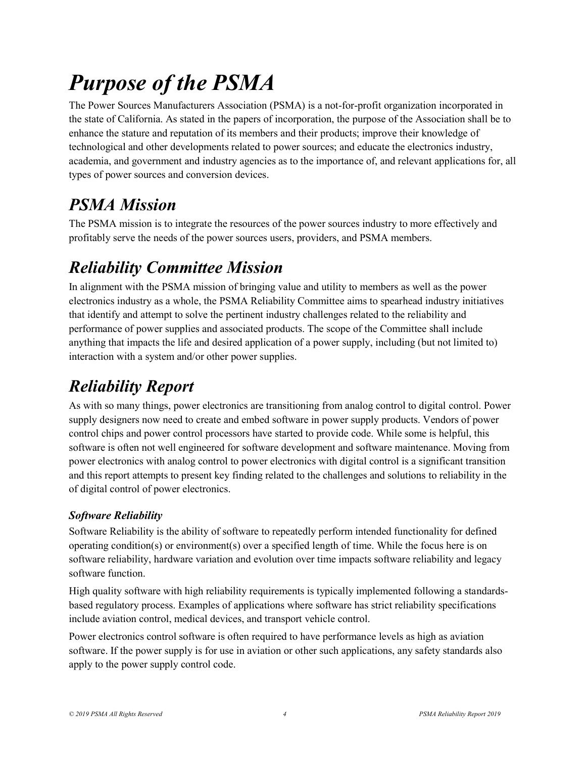## Purpose of the PSMA

The Power Sources Manufacturers Association (PSMA) is a not-for-profit organization incorporated in the state of California. As stated in the papers of incorporation, the purpose of the Association shall be to enhance the stature and reputation of its members and their products; improve their knowledge of technological and other developments related to power sources; and educate the electronics industry, academia, and government and industry agencies as to the importance of, and relevant applications for, all types of power sources and conversion devices.

### PSMA Mission

The PSMA mission is to integrate the resources of the power sources industry to more effectively and profitably serve the needs of the power sources users, providers, and PSMA members.

### Reliability Committee Mission

In alignment with the PSMA mission of bringing value and utility to members as well as the power electronics industry as a whole, the PSMA Reliability Committee aims to spearhead industry initiatives that identify and attempt to solve the pertinent industry challenges related to the reliability and performance of power supplies and associated products. The scope of the Committee shall include anything that impacts the life and desired application of a power supply, including (but not limited to) interaction with a system and/or other power supplies.

### Reliability Report

As with so many things, power electronics are transitioning from analog control to digital control. Power supply designers now need to create and embed software in power supply products. Vendors of power control chips and power control processors have started to provide code. While some is helpful, this software is often not well engineered for software development and software maintenance. Moving from power electronics with analog control to power electronics with digital control is a significant transition and this report attempts to present key finding related to the challenges and solutions to reliability in the of digital control of power electronics.

### Software Reliability

Software Reliability is the ability of software to repeatedly perform intended functionality for defined operating condition(s) or environment(s) over a specified length of time. While the focus here is on software reliability, hardware variation and evolution over time impacts software reliability and legacy software function.

High quality software with high reliability requirements is typically implemented following a standardsbased regulatory process. Examples of applications where software has strict reliability specifications include aviation control, medical devices, and transport vehicle control.

Power electronics control software is often required to have performance levels as high as aviation software. If the power supply is for use in aviation or other such applications, any safety standards also apply to the power supply control code.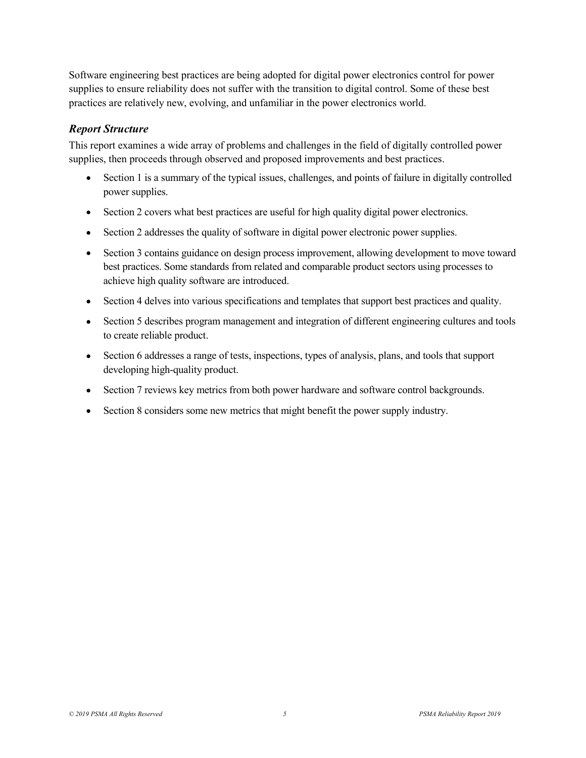Software engineering best practices are being adopted for digital power electronics control for power supplies to ensure reliability does not suffer with the transition to digital control. Some of these best practices are relatively new, evolving, and unfamiliar in the power electronics world.

#### Report Structure

This report examines a wide array of problems and challenges in the field of digitally controlled power supplies, then proceeds through observed and proposed improvements and best practices.

- Section 1 is a summary of the typical issues, challenges, and points of failure in digitally controlled power supplies.
- Section 2 covers what best practices are useful for high quality digital power electronics.
- Section 2 addresses the quality of software in digital power electronic power supplies.
- Section 3 contains guidance on design process improvement, allowing development to move toward best practices. Some standards from related and comparable product sectors using processes to achieve high quality software are introduced.
- Section 4 delves into various specifications and templates that support best practices and quality.  $\bullet$
- Section 5 describes program management and integration of different engineering cultures and tools to create reliable product.
- Section 6 addresses a range of tests, inspections, types of analysis, plans, and tools that support developing high-quality product.
- Section 7 reviews key metrics from both power hardware and software control backgrounds.
- Section 8 considers some new metrics that might benefit the power supply industry.  $\bullet$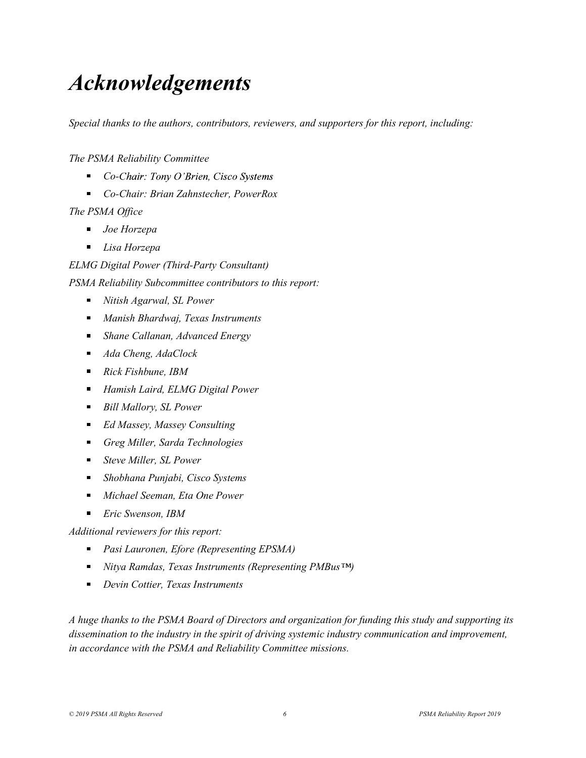### Acknowledgements

Special thanks to the authors, contributors, reviewers, and supporters for this report, including:

The PSMA Reliability Committee

- $\blacksquare$  Co-Chair: Tony O'Brien, Cisco Systems
- Co-Chair: Brian Zahnstecher, PowerRox

#### The PSMA Office

- *Joe Horzepa*
- **Lisa Horzepa**

#### ELMG Digital Power (Third-Party Consultant)

PSMA Reliability Subcommittee contributors to this report:

- Nitish Agarwal, SL Power
- **Manish Bhardwaj, Texas Instruments**
- Shane Callanan, Advanced Energy
- Ada Cheng, AdaClock
- Rick Fishbune, IBM
- Hamish Laird, ELMG Digital Power
- Bill Mallory, SL Power
- Ed Massey, Massey Consulting
- Greg Miller, Sarda Technologies
- Steve Miller, SL Power
- Shobhana Punjabi, Cisco Systems
- Michael Seeman, Eta One Power
- $\blacksquare$  Eric Swenson, IBM

#### Additional reviewers for this report:

- Pasi Lauronen, Efore (Representing EPSMA)
- $\blacksquare$  Nitya Ramdas, Texas Instruments (Representing PMBus<sup>TM</sup>)
- Devin Cottier, Texas Instruments

A huge thanks to the PSMA Board of Directors and organization for funding this study and supporting its dissemination to the industry in the spirit of driving systemic industry communication and improvement, in accordance with the PSMA and Reliability Committee missions.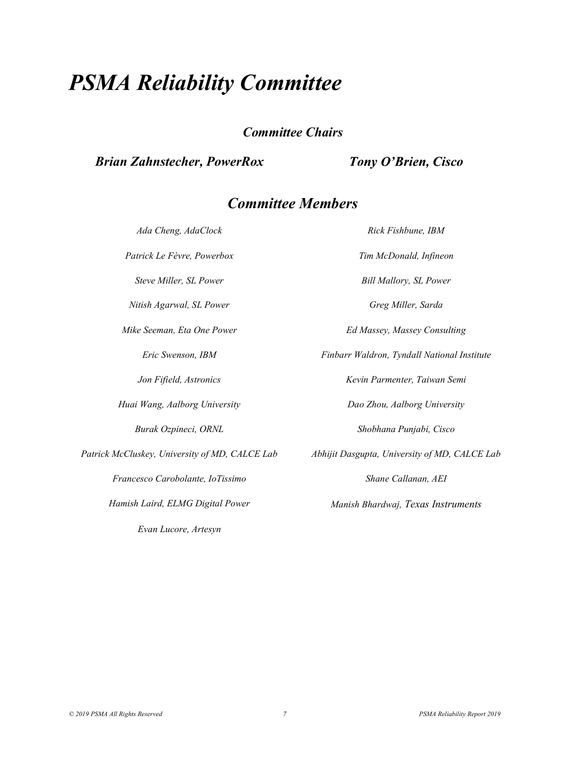### PSMA Reliability Committee

Committee Chairs

#### Brian Zahnstecher, PowerRox

### Committee Members

Evan Lucore, Artesyn

**Reliability Committee**<br>
Committee Chairs<br> **Committee Chairs**<br> **Committee Members**<br> *Ada Cheng, AdaClock*<br> *Rick Exhibune, IBM*<br> *Rick Le Fèvre, Powerbox*<br> **Committee Members**<br> *Rick Fishbune, IBM*<br> *Rick Le Fèvre, Powerbo* **Patrick Le Fèvre, PowerRox**<br> **Committee Chairs**<br> **Committee Members**<br> *Ada Cheng, AdaClock*<br> **Committee Members**<br> *Ada Cheng, AdaClock*<br> *Patrick Le Fèvre, Powerbox*<br> *Patrick Le Fèvre, Powerbox*<br> *Steve Miller, St. Power* **Reliability Committee**<br>
Committee Chairs<br> **Examplement Committee Members**<br>
Mallor Cheng, AdaClock<br>
Ada Cheng, AdaClock<br>
Mallory, SL Power<br>
Steve Miller, SL Power<br>
Steve Miller, SL Power<br>
Steve Miller, SL Power<br>
Steve Mill **Reliability Committee**<br> **Committee Chairs**<br> **Committee Chairs**<br> **Committee Members**<br>
Aga Cheng, AdaClock<br>
Agarwal, SL Power<br>
Site Righter, Sarda<br>
Site Killer, SL Power<br>
<br>
Nitish Agarwal, SL Power<br>
<br>
Nitish Agarwal, SL Pow **COMMITTEE Seeman, From From The Seeman, From Power Power Chairs**<br>
Mike Seeman, *Had Cheng, AdaClock*<br> **COMMITTEE Members**<br>
Ada Cheng, AdaClock<br>
Parrick Le Fèvre, Powerbox<br>
Steve Miller, SL Power<br>
Ninsk Agarwal, SL Power<br> Eric Swenson, IBM Finbarr Waldron, Tyndall National Institute Jon Fifield, Astronics The Service of the Kevin Parmenter, Taiwan Semi **Committee Members**<br> **Committee Members**<br> *Ada Cheng, AdaClock*<br> *Ada Cheng, AdaClock*<br> *Patrick Le Fèvre, Powerbox*<br> *Finden Steve Miller, SL Power*<br> *Steve Miller, SL Power*<br> *Nitish Agarwal, SL Power*<br> *Committee And Mi* Burak Ozpineci, ORNL Shobhana Punjabi, Cisco France Community Reserves Entity Rick Fishbune, IBM<br>
Patrick Le Fèvre, Powerbox<br>
Sieve Miller, SL Power<br>
Sieve Miller, SL Power<br>
Nitish Agurwal, SL Power<br>
Mike Seeman, Eta One Power<br>
Eric Swenson, IBM<br>
Finbarr Waldron, Iya Ana Cheng, Aaothock<br>
Francesco Caroline Review Francesco Caroline Review Miller, SL Power<br>
Shank Agarwal, SL Power<br>
Shank Agarwal, SL Power<br>
Shank Seeman, Eta One Power<br>
Francesco Caroline<br>
Francesco Carobolante, IoTissimo Hamish Laird, ELMG Digital Power Manish Bhardwaj, Texas Instruments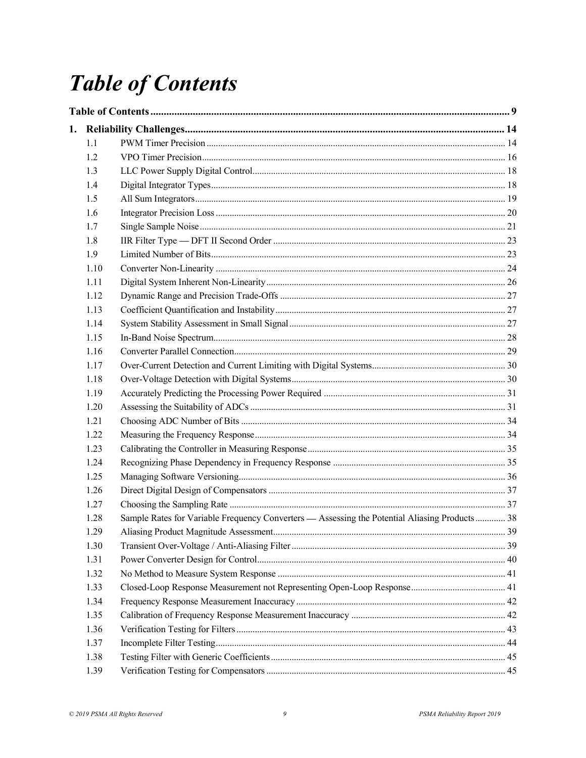## **Table of Contents**

| 1.1  |                                                                                               |    |  |  |
|------|-----------------------------------------------------------------------------------------------|----|--|--|
| 1.2  |                                                                                               |    |  |  |
| 1.3  |                                                                                               |    |  |  |
| 1.4  |                                                                                               |    |  |  |
| 1.5  |                                                                                               |    |  |  |
| 1.6  |                                                                                               |    |  |  |
| 1.7  |                                                                                               |    |  |  |
| 1.8  |                                                                                               |    |  |  |
| 1.9  |                                                                                               |    |  |  |
| 1.10 |                                                                                               |    |  |  |
| 1.11 |                                                                                               |    |  |  |
| 1.12 |                                                                                               |    |  |  |
| 1.13 |                                                                                               |    |  |  |
| 1.14 |                                                                                               |    |  |  |
| 1.15 |                                                                                               |    |  |  |
| 1.16 |                                                                                               |    |  |  |
| 1.17 |                                                                                               |    |  |  |
| 1.18 |                                                                                               |    |  |  |
| 1.19 |                                                                                               |    |  |  |
| 1.20 |                                                                                               |    |  |  |
| 1.21 |                                                                                               |    |  |  |
| 1.22 |                                                                                               |    |  |  |
| 1.23 |                                                                                               |    |  |  |
| 1.24 |                                                                                               |    |  |  |
| 1.25 |                                                                                               |    |  |  |
| 1.26 |                                                                                               |    |  |  |
| 1.27 |                                                                                               |    |  |  |
| 1.28 | Sample Rates for Variable Frequency Converters - Assessing the Potential Aliasing Products 38 |    |  |  |
| 1.29 |                                                                                               | 39 |  |  |
| 1.30 |                                                                                               |    |  |  |
| 1.31 |                                                                                               |    |  |  |
| 1.32 |                                                                                               |    |  |  |
| 1.33 |                                                                                               |    |  |  |
| 1.34 |                                                                                               |    |  |  |
| 1.35 |                                                                                               |    |  |  |
| 1.36 |                                                                                               |    |  |  |
| 1.37 |                                                                                               |    |  |  |
| 1.38 |                                                                                               |    |  |  |
| 1.39 |                                                                                               |    |  |  |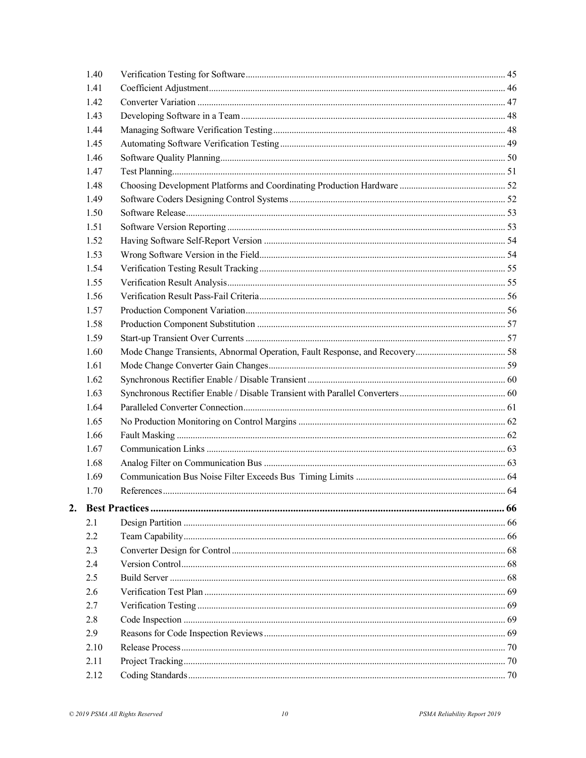|    | 1.40 |  |
|----|------|--|
|    | 1.41 |  |
|    | 1.42 |  |
|    | 1.43 |  |
|    | 1.44 |  |
|    | 1.45 |  |
|    | 1.46 |  |
|    | 1.47 |  |
|    | 1.48 |  |
|    | 1.49 |  |
|    | 1.50 |  |
|    | 1.51 |  |
|    | 1.52 |  |
|    | 1.53 |  |
|    | 1.54 |  |
|    | 1.55 |  |
|    | 1.56 |  |
|    | 1.57 |  |
|    | 1.58 |  |
|    | 1.59 |  |
|    | 1.60 |  |
|    | 1.61 |  |
|    | 1.62 |  |
|    | 1.63 |  |
|    | 1.64 |  |
|    | 1.65 |  |
|    | 1.66 |  |
|    | 1.67 |  |
|    | 1.68 |  |
|    | 1.69 |  |
|    | 1.70 |  |
| 2. |      |  |
|    | 2.1  |  |
|    | 2.2  |  |
|    | 2.3  |  |
|    | 2.4  |  |
|    | 2.5  |  |
|    | 2.6  |  |
|    | 2.7  |  |
|    | 2.8  |  |
|    | 2.9  |  |
|    | 2.10 |  |
|    | 2.11 |  |
|    |      |  |
|    | 2.12 |  |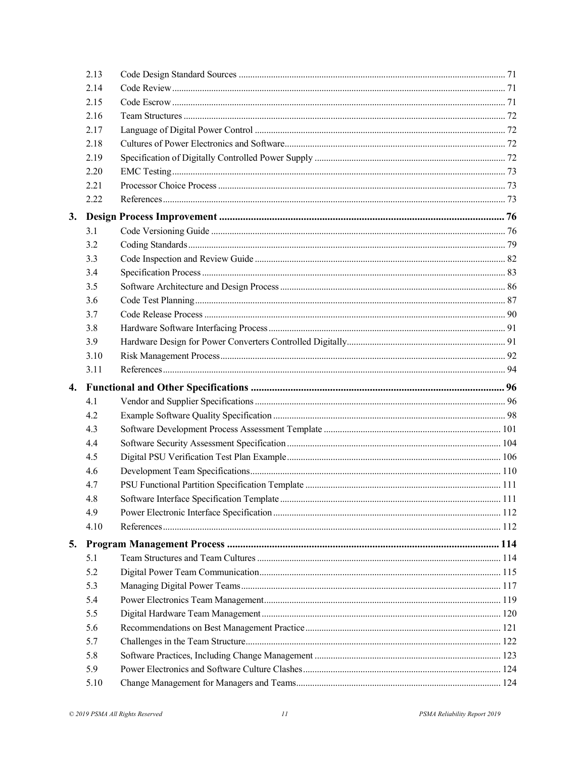|    | 2.13 |  |  |  |
|----|------|--|--|--|
|    | 2.14 |  |  |  |
|    | 2.15 |  |  |  |
|    | 2.16 |  |  |  |
|    | 2.17 |  |  |  |
|    | 2.18 |  |  |  |
|    | 2.19 |  |  |  |
|    | 2.20 |  |  |  |
|    | 2.21 |  |  |  |
|    | 2.22 |  |  |  |
| 3. |      |  |  |  |
|    | 3.1  |  |  |  |
|    | 3.2  |  |  |  |
|    | 3.3  |  |  |  |
|    | 3.4  |  |  |  |
|    | 3.5  |  |  |  |
|    | 3.6  |  |  |  |
|    | 3.7  |  |  |  |
|    | 3.8  |  |  |  |
|    | 3.9  |  |  |  |
|    | 3.10 |  |  |  |
|    | 3.11 |  |  |  |
| 4. |      |  |  |  |
|    | 4.1  |  |  |  |
|    | 4.2  |  |  |  |
|    | 4.3  |  |  |  |
|    | 4.4  |  |  |  |
|    | 4.5  |  |  |  |
|    | 4.6  |  |  |  |
|    | 4.7  |  |  |  |
|    | 4.8  |  |  |  |
|    | 4.9  |  |  |  |
|    | 4.10 |  |  |  |
| 5. |      |  |  |  |
|    | 5.1  |  |  |  |
|    | 5.2  |  |  |  |
|    | 5.3  |  |  |  |
|    | 5.4  |  |  |  |
|    | 5.5  |  |  |  |
|    | 5.6  |  |  |  |
|    | 5.7  |  |  |  |
|    | 5.8  |  |  |  |
|    | 5.9  |  |  |  |
|    | 5.10 |  |  |  |